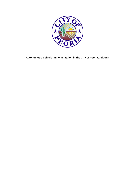

**Autonomous Vehicle Implementation in the City of Peoria, Arizona**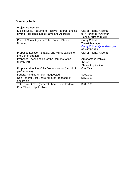# **Summary Table**

| <b>Project Name/Title</b>                           |                                    |
|-----------------------------------------------------|------------------------------------|
| Eligible Entity Applying to Receive Federal Funding | City of Peoria, Arizona            |
| (Prime Applicant's Legal Name and Address)          | 9875 North 85 <sup>th</sup> Avenue |
|                                                     | Peoria, Arizona 85345              |
| Point of Contact (Name/Title; Email; Phone          | <b>Cathy Colbath</b>               |
| Number)                                             | <b>Transit Manager</b>             |
|                                                     | Cathy.Colbath@peoriaaz.gov         |
|                                                     | 623-773-7993                       |
| Proposed Location (State(s) and Municipalities for  | City of Peoria, Arizona            |
| the Demonstration                                   |                                    |
| Proposed Technologies for the Demonstration         | Autonomous Vehicle                 |
| (briefly list)                                      | <b>Kiosks</b>                      |
|                                                     | <b>Phone Application</b>           |
| Proposed duration of the Demonstration (period of   | One Year                           |
| performance)                                        |                                    |
| <b>Federal Funding Amount Requested</b>             | \$750,000                          |
| Non-Federal Cost Share Amount Proposed, if          | \$150,000                          |
| applicable                                          |                                    |
| Total Project Cost (Federal Share + Non-Federal     | \$900,000                          |
| Cost Share, if applicable)                          |                                    |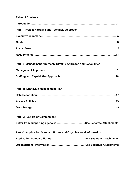## **Table of Contents**

| Part I: Project Narrative and Technical Approach                 |  |
|------------------------------------------------------------------|--|
|                                                                  |  |
|                                                                  |  |
|                                                                  |  |
|                                                                  |  |
| Part II: Management Approach, Staffing Approach and Capabilities |  |
|                                                                  |  |

# **Part III: Draft Data Management Plan Data Description……….….………………………………………………………………….17 Access Policies….………...………………………………………………...……………….19 Data Storage…..………..….………………………………………………………………….19 Part IV: Letters of Commitment Letter from supporting agencies ………………………..…See Separate Attachments**

| Part V: Application Standard Forms and Organizational Information |  |  |
|-------------------------------------------------------------------|--|--|
|                                                                   |  |  |
|                                                                   |  |  |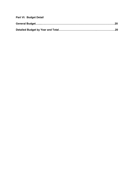| Part VI: Budget Detail                         |  |
|------------------------------------------------|--|
| General Budget………………………………………………………………………………20 |  |
|                                                |  |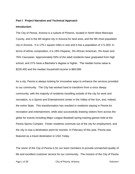#### **Part I: Project Narrative and Technical Approach**

#### **Introduction**

The City of *Peoria, Arizona* is a suburb of Phoenix, located in North West Maricopa County, and is the 6th largest city in Arizona for land area, and the 9th most populated city in Arizona. It is 179.1 square miles in size and it has a population of 171,000. In terms of ethnic composition, it is 18% Hispanic, 3% African American, 3% Asian and 76% Caucasian. Approximately 93% of the adult residents have graduated from high school, and 31% have a Bachelor's degree or higher. The median home value is \$230,400 and the median household income is \$69,589.

As a city, Peoria is always looking for innovative ways to enhance the services provided to our community. The City has worked hard to transform from a once sleepy community, with the majority of residents travelling outside of the city for work and recreation, to a Sports and Entertainment center in the Valley of the Sun, and, indeed, the entire State. This transformation has resulted in residents staying in Peoria for recreation and entertainment, while also successfully drawing visitors from across the globe for events including Major League Baseball spring training games held at the Peoria Sports Complex. Fewer residents commute out of the city for employment, and the city is now a destination point for tourists. In February of this year, Peoria was featured as a travel destination in USA Today.

The vision of the City of Peoria is for our team members to provide unmatched quality of life and excellent customer service for our community. The mission of the City of Peoria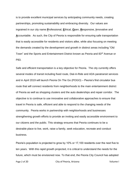is to provide excellent municipal services by anticipating community needs, creating partnerships, promoting sustainability and embracing diversity. Our values are ingrained in our city name **P**rofessional, **E**thical, **O**pen, **R**esponsive, **I**nnovative and **A**ccountable. As such, the City of Peoria is responsible for ensuring safe transportation that is easily accessible for residents and visitors alike, while also focusing on meeting the demands created by the development and growth in distinct areas including "Old Town" and the Sports and Entertainment District known as Peoria and 83rd Avenue or P83.

Safe and efficient transportation is a key objective for Peoria. The city currently offers several modes of transit including fixed route, Dial-A-Ride and ADA paratransit services and in April 2019 will launch Peoria On The Go (POGO) – Peoria's first circulator bus route that will connect residents from neighborhoods to the main entertainment district of Peoria as well as shopping clusters and the auto dealerships and repair corridor. The objective is to continue to use innovative and collaborative approaches to ensure that travel in Peoria is safe, efficient and able to respond to the changing needs of the community. Peoria works in partnership with neighborhoods and businesses strengthening growth efforts to provide an inviting and easily accessible environment to our citizens and the public. This strategy ensures that Peoria continues to be a desirable place to live, work, raise a family, seek education, recreate and conduct business.

Peoria's population is projected to grow by 10% or 17,100 residents over the next five to ten years. With this rapid growth projected, it is critical to understand the needs for the future, which must be envisioned now. To that end, the Peoria City Council has adopted

Page 2 of 20 City of Peoria, Arizona Communication of Peoria, Arizona Communication of Peoria, Arizona Communication of Peoria, Arizona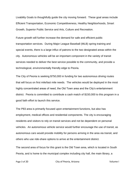Livability Goals to thoughtfully guide the city moving forward. These goal areas include Efficient Transportation, Economic Competitiveness, Healthy Neighborhoods, Smart Growth, Superior Public Service and Arts, Culture and Recreation.

Future growth will further increase the demand for safe and efficient public transportation services. During Major League Baseball (MLB) spring training and special events, there is a large influx of patrons to the two designated areas within the city. Autonomous vehicles will be an important component in the variety of transit services needed to deliver the best service possible to the community, and provide a technological, environmentally friendly edge to Peoria.

The City of Peoria is seeking \$750,000 in funding for two autonomous driving routes that will focus on first mile/last mile needs. The vehicles would be deployed in the most highly concentrated areas of need, the Old Town area and the City's entertainment district. Peoria is committed to contribute a cash match of \$150,000 to this program in a good faith effort to launch this service.

The P83 area is primarily focused upon entertainment functions, but also has employment, medical offices and residential components. The city is encouraging residents and visitors to rely on transit services and not be dependent on personal vehicles. An autonomous vehicle service would further encourage the use of transit, as autonomous cars would provide mobility for persons arriving in the area via transit, and others who use ride-share options to arrive at the entertainment district.

The second area of focus for this grant is the Old Town area, which is located in South Peoria, and is home to the municipal complex including city hall, the main library, a

Page 3 of 20 City of Peoria, Arizona Communication of Peoria, Arizona Communication of Peoria, Arizona Communication of Peoria, Arizona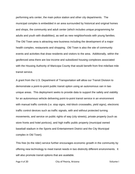performing arts center, the main police station and other city departments. The municipal complex is embedded in an area surrounded by historical and original homes and shops, the community and adult center (which includes unique programming for adults and youth with disabilities), as well as new neighborhoods with young families. The Old Town area is attracting new business including the development of a major health complex, restaurants and shopping. Old Town is also the site of community events and activities that draw residents and visitors to the area. Additionally, within the geofenced area there are low income and subsidized housing complexes associated with the Housing Authority of Maricopa County that would benefit from first mile/last mile transit service.

A grant from the U.S. Department of Transportation will allow our Transit Division to demonstrate a point-to-point public transit option using an autonomous van in two unique areas. This deployment seeks to provide data to support the safety and viability for an autonomous vehicle delivering point-to-point transit service in an environment with manual traffic controls (i.e. stop signs, mid-block crosswalks, yield signs), electronic traffic control devices such as traffic signals, with and without protected turning movements, and service on public rights of way (city streets), private property (such as store fronts and hotel porticos), and high traffic public property (municipal owned baseball stadium in the Sports and Entertainment District and the City Municipal complex in Old Town).

This free (to the rider) service further encourages economic growth in the community by offering new technology to meet transit needs in two distinctly different environments. It will also promote transit options that are available.

Page 4 of 20 City of Peoria, Arizona Communication of the Volume I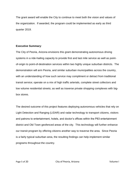The grant award will enable the City to continue to meet both the vision and values of the organization. If awarded, the program could be implemented as early as third quarter 2019.

### **Executive Summary**:

The City of Peoria, Arizona envisions this grant demonstrating autonomous driving systems in a ride-hailing capacity to provide first and last mile service as well as pointof-origin to point-of-destination services within two highly unique suburban districts. The demonstration will arm Peoria, and similar suburban municipalities across the country, with an understanding of how such service may compliment or detract from traditional transit service; operate on a mix of high traffic arterials, complete street collectors and low volume residential streets; as well as traverse private shopping complexes with bigbox stores.

The desired outcome of this project features deploying autonomous vehicles that rely on Light Detection and Ranging (LIDAR) and radar technology to transport citizens, visitors and patrons to entertainment, hotels, and doctor's offices within the P83 entertainment district and Old Town geofenced areas of the city. This technology will further enhance our transit program by offering citizens another way to traverse the area. Since Peoria is a fairly typical suburban area, the resulting findings can help implement similar programs throughout the country.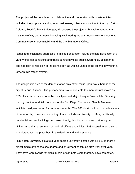The project will be completed in collaboration and cooperation with private entities including the proposed vendor, local businesses, citizens and visitors to the city. Cathy Colbath, Peoria's Transit Manager, will oversee the project with involvement from a multitude of city departments including Engineering, Streets, Economic Development, Communications, Sustainability and the City Manager's Office.

Issues and challenges addressed in this demonstration include the safe navigation of a variety of street conditions and traffic control devices; public awareness, acceptance and adoption or rejection of the technology; as well as usage of the technology within a larger public transit system.

The geographic area of the demonstration project will focus upon two subareas of the city of Peoria, Arizona. The primary area is a unique entertainment district known as P83. This district is anchored by the city-owned Major League Baseball (MLB) spring training stadium and field complex for the San Diego Padres and Seattle Mariners, which is used year-round for numerous events. The P83 district is host to a wide variety of restaurants, hotels, and shopping. It also includes a diversity of office, multifamily residential and senior living complexes. Lastly, this district is home to Huntington University and an assortment of medical offices and clinics. P83 entertainment district is a vibrant bustling place both in the daytime and in the evening.

Huntington University's is a four year degree university located within P83. It offers a digital media arts bachelor's degree and enrollment continues grow year over year. They have won awards for digital media arts in both years that they have competed,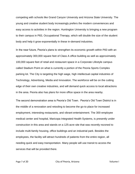competing with schools like Grand Canyon University and Arizona State University. The young and creative student body increasingly prefers the modern conveniences and easy access to activities in the region. Huntington University is bringing a new program to their campus in P83, Occupational Therapy, which will double the size of the student body and help it grow exponentially in these in-demand industries.

In the near future, Peoria's plans to strengthen its economic growth within P83 with an approximately 300,000 square feet of Class A office building as well as approximately 100,000 square feet of retail and restaurant space in a Corporate Lifestyle campus called Stadium Point on what is currently a portion of the Peoria Sports Complex parking lot. The City is targeting the high wage, high intellectual capital industries of Technology, Advertising, Media and Innovation. The workforce will be on the cutting edge of their own creative industries, and will demand quick access to local attractions in the area. Peoria also has plans for more office space in the area nearby.

The second demonstration area is Peoria's Old Town. Peoria's Old Town District is in the middle of a renovation and retooling to become the go-to place for increased employment, interesting restaurants, and vibrant entertainment. The 300-employee medical center and hospital, Maricopa Integrated Health Systems, is presently under construction in this area and stands on a 125-acre site that was recently rezoned to include multi-family housing, office buildings and an industrial park. Besides the employees, the facility will attract hundreds of patients from the entire region, all needing quick and easy transportation. Many people will use transit to access the services that will be provided there.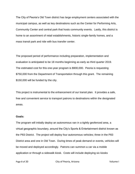The City of Peoria's Old Town district has large employment centers associated with the municipal campus, as well as key destinations such as the Center for Performing Arts, Community Center and central park that hosts community events. Lastly, this district is home to an assortment of retail establishments, historic single-family homes, and a mass transit park and ride with bus transfer center.

The proposed period of performance including preparation, implementation and evaluation is anticipated to be 18 months beginning as early as third quarter 2019. The estimated cost for this one-year program is \$900,000. Peoria is requesting \$750,000 from the Department of Transportation through this grant. The remaining \$150,000 will be funded by the city.

This project is instrumental to the enhancement of our transit plan. It provides a safe, free and convenient service to transport patrons to destinations within the designated areas.

#### **Goals:**

The program will initially deploy an autonomous van in a tightly geofenced area, a virtual geographic boundary, around the City's Sports & Entertainment district known as the P83 District. The project will deploy four autonomous vehicles; three in the P83 District area and one in Old Town. During times of peak demand or events, vehicles will be moved and deployed accordingly. Patrons can summon a car via a mobile application or through a sidewalk kiosk. Costs will include deploying six kiosks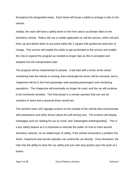throughout the designated areas. Each kiosk will house a tablet to arrange a ride on the vehicle.

Initially, the vans will have a safety driver in the front seat to acclimate riders to the driverless vehicle. Riders will use a mobile application to call the service, which will pick them up and deliver them to any point within the 2 square mile geofenced area free of charge. This service will enable the public to get acclimated to the service and enable the City to expand the program as needed to longer trips as this is accepted and adopted into the transportation plan.

The program will be implemented in phases. It will start with a driver at the wheel monitoring how the vehicle is running, then eventually the driver will be removed, and a chaperone will be in the front passenger seat assisting passengers and monitoring operations. The chaperone will eventually no longer be used, and the car will continue to be monitored remotely. This final phase is a remote operator that can see all monitors or items that a physical driver would see.

The vehicles have LED signage screens on the outside of the vehicle that communicate with pedestrians and other drivers about the self-driving cars. The screens will display messages such as "waiting for you to cross" and "passengers entering/exiting". This is a key safety feature as it is important to educate the public on how to react around driverless vehicles. As an added layer of safety, if the vehicle encounters a problem the driver, chaperone and remote operator can control the car directly. Once driverless, the rider has the ability to have the car safely pull over and stop quickly upon the push of a button.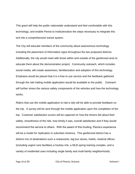This grant will help the public nationwide understand and feel comfortable with this technology, and enable Peoria to institutionalize the steps necessary to integrate this tool into a comprehensive transit system.

The City will educate members of the community about autonomous technology including the placement of information signs throughout the two proposed districts. Additionally, the city would meet with those within and outside of the geofenced area to educate them about the demonstration project. Community outreach, which includes social media, will create awareness, familiarization and adoption of this technology. Emphasis would be placed that it is a free to use service and the feedback gathered through the ride hailing mobile application would be available to the public. Outreach will further stress the various safety components of the vehicles and how the technology works.

Riders that use the mobile application to hail a ride will be able to provide feedback on the trip. A survey will be sent through the mobile application upon the completion of the trip. Customer satisfaction scores will be captured on how the drivers felt about their safety, smoothness of the ride, how timely it was, overall satisfaction and if they would recommend the service to others. With the award of this funding, Peoria's experience will be a model for replication in suburban America. This geofenced district has a distinct mix of destinations such a restaurants, big box stores, hotels, medical offices (including urgent care facilities) a hockey rink, a MLB spring training complex, and a variety of residential uses including single family and multi-family neighborhoods.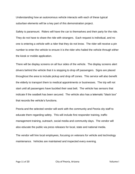Understanding how an autonomous vehicle interacts with each of these typical suburban elements will be a key part of this demonstration project.

Safety is paramount. Riders will have the car to themselves and their party for the ride. They do not have to share the ride with strangers. Each request is individual, and no one is entering a vehicle with a rider that they do not know. The rider will receive a pin number to enter the vehicle to ensure it is the rider who hailed the vehicle through either the kiosk or mobile application.

There will be display screens on all four sides of the vehicle. The display screens alert drivers behind the vehicle that it is stopping to drop off passengers. Signs are placed throughout the area to include pickup and drop off zones. This service will also benefit the elderly to transport them to medical appointments or businesses. The trip will not start until all passengers have buckled their seat belt. The vehicle has sensors that indicate if the seatbelt has been secured. The vehicle also has a telematic "black box" that records the vehicle's functions.

Peoria and the selected vendor will work with the community and Peoria city staff to educate them regarding safety. This will include first responder training, traffic management training, outreach, social media and community days. The vendor will also educate the public via press releases for local, state and national media.

The vendor will hire local employees, focusing on veterans for vehicle and technology maintenance. Vehicles are maintained and inspected every evening.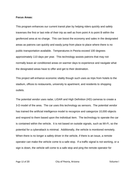#### **Focus Areas:**

This program enhances our current transit plan by helping riders quickly and safely traverses the first or last mile of their trip as well as from point A to point B within the geofenced area at no charge. This can boost the economy and sales in the designated areas as patrons can quickly and easily jump from place to place where there is no public transportation available. Temperatures in Peoria exceed 100 degrees approximately 110 days per year. This technology assists patrons that may not normally leave air conditioned areas on warmer days to experience and navigate what the designated areas have to offer and get to their destination.

This project will enhance economic vitality though such uses as trips from hotels to the stadium, offices to restaurants, university to apartment, and residents to shopping outlets.

The potential vendor uses radar, LIDAR and High Definition (HD) cameras to create a 3-D model of the area. The car uses this technology as sensors. The potential vendor has trained the artificial intelligence model to recognize and categorize 10,000 objects and respond to them based upon the individual item. The technology to operate the car is contained within the vehicle. It is not based on outside signals, such as Wi-Fi, so the potential for a cyberattack is minimal. Additionally, the vehicle is monitored remotely. When there is no longer a safety driver in the vehicle, if there is an issue, a remote operator can make the vehicle come to a safe stop. If a traffic signal is not working, or a sign is down, the vehicle will come to a safe stop and ping the remote operator for

Page 12 of 20 The City of Peoria, Arizona The Columbus Columbus Volume I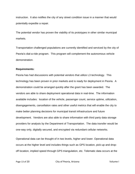instruction. It also notifies the city of any street condition issue in a manner that would potentially expedite a repair.

The potential vendor has proven the viability of its prototypes in other similar municipal markets.

Transportation challenged populations are currently identified and serviced by the city of Peoria's dial-a-ride program. This program will complement the autonomous vehicle demonstration.

#### **Requirements:**

Peoria has had discussions with potential vendors that utilize L3 technology. This technology has been proven in prior markets and is ready for deployment in Peoria. A demonstration could be arranged quickly after the grant has been awarded. The vendors are able to share deployment operational data in real-time. The information available includes: location of the vehicle, passenger count, service uptime, utilization, disengagements, cancellation rates and other useful metrics that will enable the city to make better planning decisions for municipal transit infrastructure and future development. Vendors are also able to share information with third party data storage providers for analysis by the Department of Transportation. The data transfer would be one-way only, digitally secured, and encrypted via redundant cellular networks.

Operational data can be thought of in two levels, higher and lower. Operational data occurs at the higher level and includes things such as GPS location, pick-up and dropoff location, implied speed through GPS triangulation, etc. Telematic data occurs at the